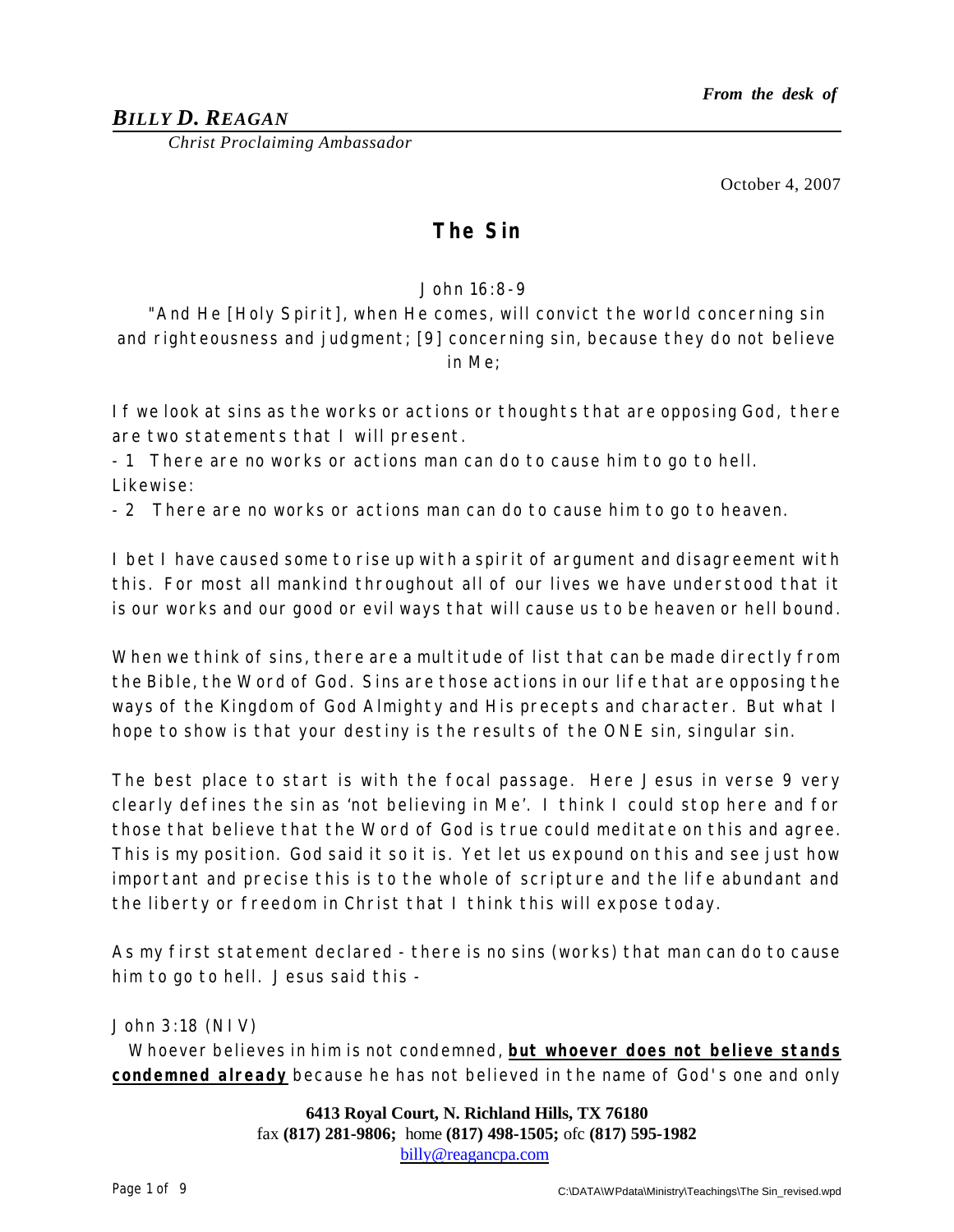## *BILLY D. REAGAN*

*Christ Proclaiming Ambassador*

October 4, 2007

# **The Sin**

#### *John 16:8-9*

*"And He [Holy Spirit], when He comes, will convict the world concerning sin and righteousness and judgment; [9] concerning sin, because they do not believe in Me;*

If we look at sins as the works or actions or thoughts that are opposing God, there are two statements that I will present.

- 1 There are no works or actions man can do to cause him to go to hell. Likewise:

- 2 There are no works or actions man can do to cause him to go to heaven.

I bet I have caused some to rise up with a spirit of argument and disagreement with this. For most all mankind throughout all of our lives we have understood that it is our works and our good or evil ways that will cause us to be heaven or hell bound.

When we think of sins, there are a multitude of list that can be made directly from the Bible, the Word of God. Sins are those actions in our life that are opposing the ways of the Kingdom of God Almighty and His precepts and character. But what I hope to show is that your destiny is the results of the ONE sin, singular sin.

The best place to start is with the focal passage. Here Jesus in verse 9 very clearly defines the sin as 'not believing in Me'. I think I could stop here and for those that believe that the Word of God is true could meditate on this and agree. This is my position. God said it so it is. Yet let us expound on this and see just how important and precise this is to the whole of scripture and the life abundant and the liberty or freedom in Christ that I think this will expose today.

As my first statement declared - there is no sins (works) that man can do to cause him to go to hell. Jesus said this -

John 3:18 (NIV)

Whoever believes in him is not condemned, **but whoever does not believe stands condemned already** because he has not believed in the name of God's one and only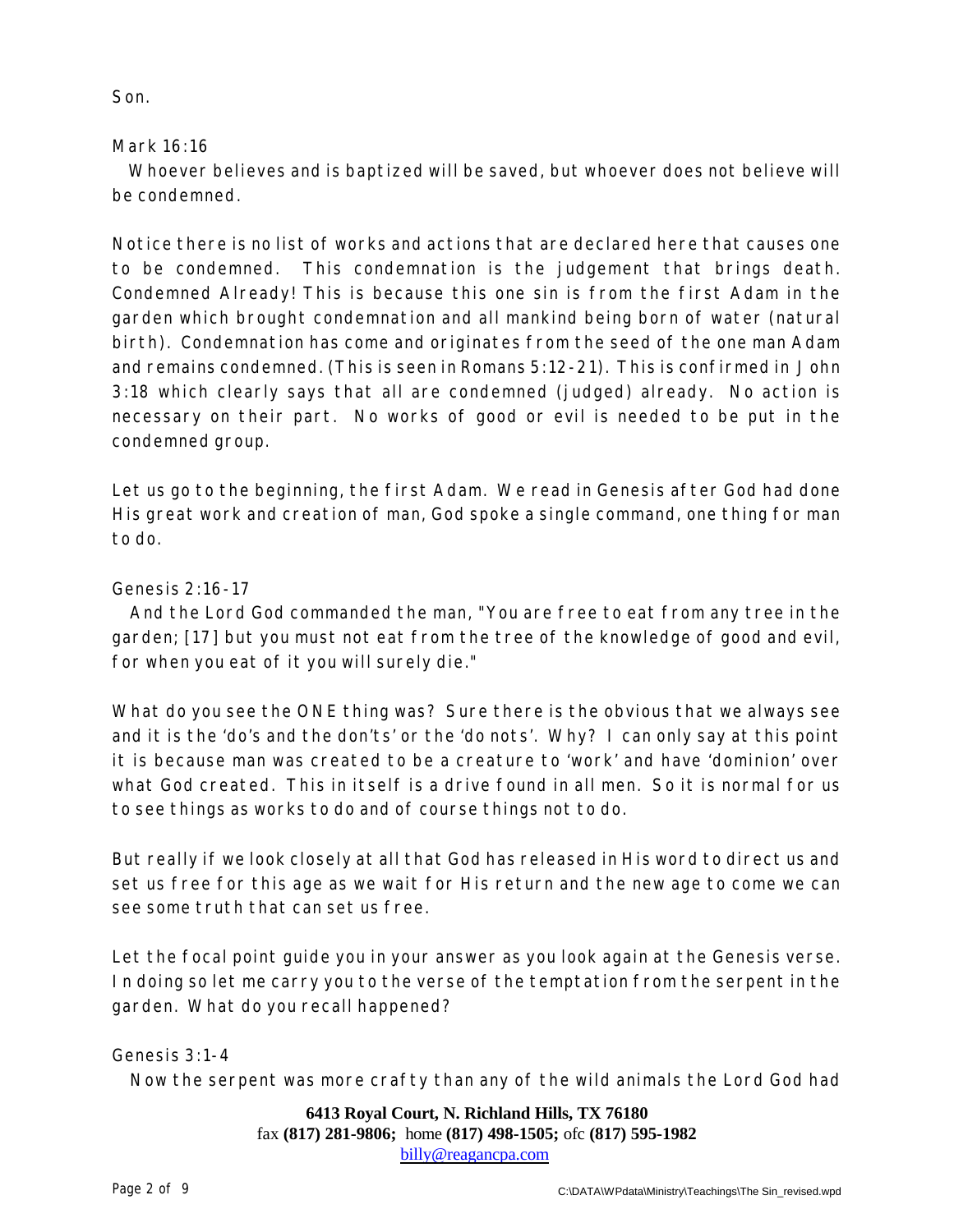Son.

### Mark 16:16

Whoever believes and is baptized will be saved, but whoever does not believe will be condemned.

Notice there is no list of works and actions that are declared here that causes one to be condemned. This condemnation is the judgement that brings death. Condemned Already! This is because this one sin is from the first Adam in the garden which brought condemnation and all mankind being born of water (natural birth). Condemnation has come and originates from the seed of the one man Adam and remains condemned. (This is seen in Romans 5:12-21). This is confirmed in John 3:18 which clearly says that all are condemned (judged) already. No action is necessary on their part. No works of good or evil is needed to be put in the condemned group.

Let us go to the beginning, the first Adam. We read in Genesis after God had done His great work and creation of man, God spoke a single command, one thing for man to do.

# Genesis 2:16-17

And the Lord God commanded the man, "You are free to eat from any tree in the garden; [17] but you must not eat from the tree of the knowledge of good and evil, for when you eat of it you will surely die."

What do you see the ONE thing was? Sure there is the obvious that we always see and it is the 'do's and the don'ts' or the 'do nots'. Why? I can only say at this point it is because man was created to be a creature to 'work' and have 'dominion' over what God created. This in itself is a drive found in all men. So it is normal for us to see things as works to do and of course things not to do.

But really if we look closely at all that God has released in His word to direct us and set us free for this age as we wait for His return and the new age to come we can see some truth that can set us free.

Let the focal point guide you in your answer as you look again at the Genesis verse. In doing so let me carry you to the verse of the temptation from the serpent in the garden. What do you recall happened?

Genesis 3:1-4

Now the serpent was more crafty than any of the wild animals the Lord God had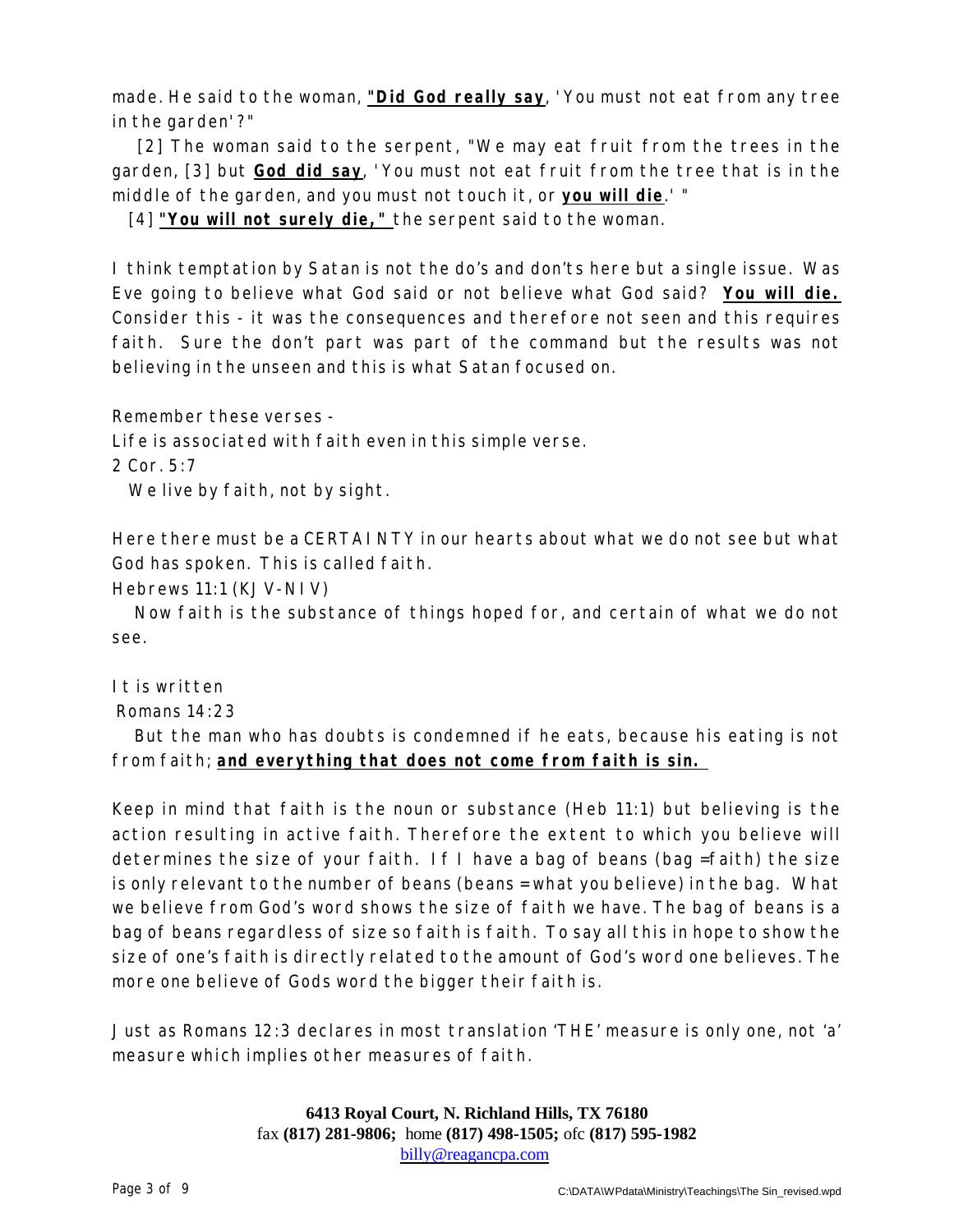made. He said to the woman, **"Did God really say**, 'You must not eat from any tree in the garden'?"

[2] The woman said to the serpent, "We may eat fruit from the trees in the garden, [3] but **God did say**, 'You must not eat fruit from the tree that is in the middle of the garden, and you must not touch it, or **you will die**.' "

[4] **"You will not surely die,"** the serpent said to the woman.

I think temptation by Satan is not the do's and don'ts here but a single issue. Was Eve going to believe what God said or not believe what God said? **You will die.** Consider this - it was the consequences and therefore not seen and this requires faith. Sure the don't part was part of the command but the results was not believing in the unseen and this is what Satan focused on.

Remember these verses -

Life is associated with faith even in this simple verse.

2 Cor. 5:7

We live by faith, not by sight.

Here there must be a CERTAINTY in our hearts about what we do not see but what God has spoken. This is called faith.

Hebrews 11:1 (KJV-NIV)

Now faith is the substance of things hoped for, and certain of what we do not see.

It is written

Romans 14:23

But the man who has doubts is condemned if he eats, because his eating is not from faith; **and everything that does not come from faith is sin.** 

Keep in mind that faith is the noun or substance (Heb 11:1) but believing is the action resulting in active faith. Therefore the extent to which you believe will determines the size of your faith. If I have a bag of beans (bag =faith) the size is only relevant to the number of beans (beans = what you believe) in the bag. What we believe from God's word shows the size of faith we have. The bag of beans is a bag of beans regardless of size so faith is faith. To say all this in hope to show the size of one's faith is directly related to the amount of God's word one believes. The more one believe of Gods word the bigger their faith is.

Just as Romans 12:3 declares in most translation 'THE' measure is only one, not 'a' measure which implies other measures of faith.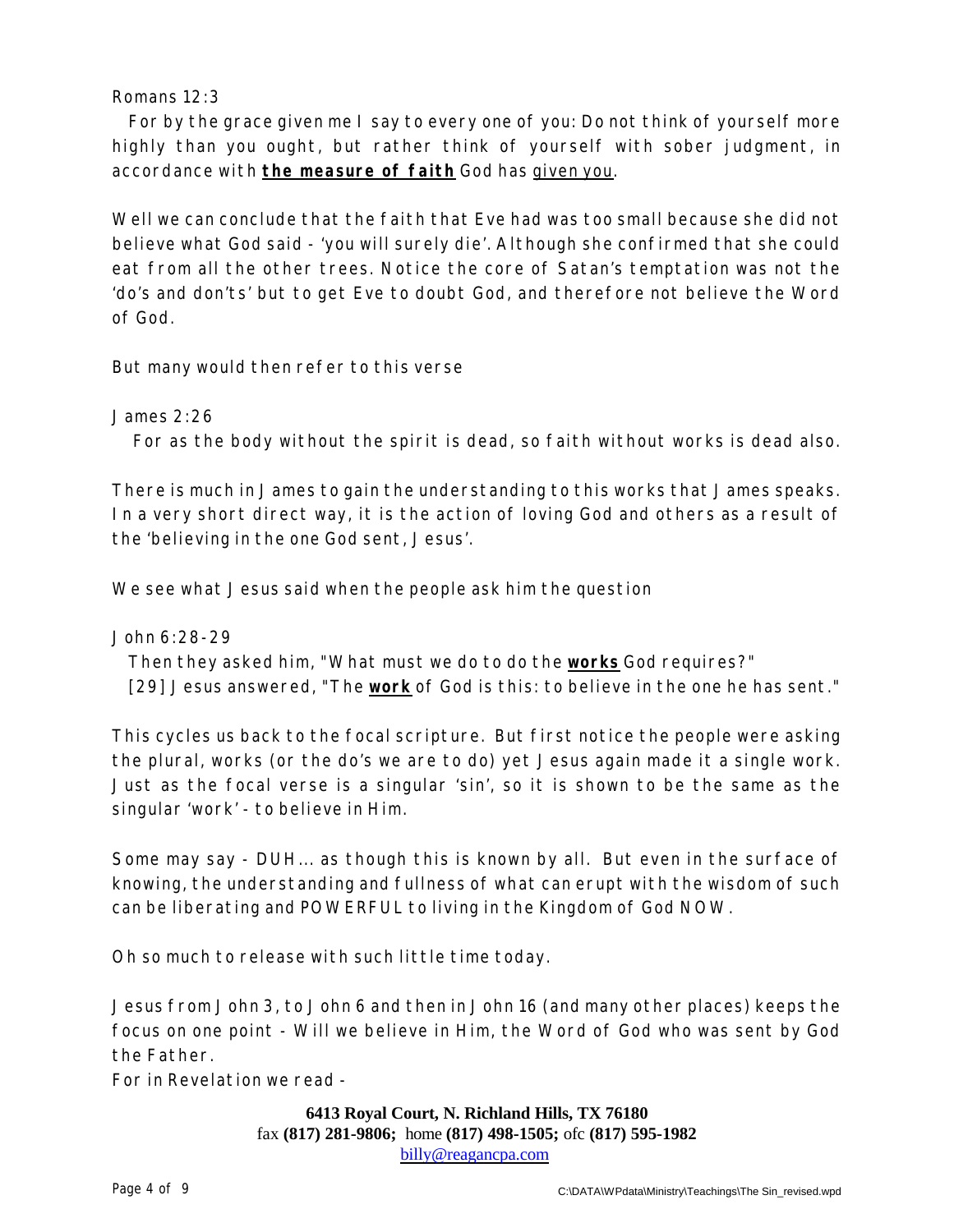#### Romans 12:3

For by the grace given me I say to every one of you: Do not think of yourself more highly than you ought, but rather think of yourself with sober judgment, in accordance with **the measure of faith** God has given you.

Well we can conclude that the faith that Eve had was too small because she did not believe what God said - 'you will surely die'. Although she confirmed that she could eat from all the other trees. Notice the core of Satan's temptation was not the 'do's and don'ts' but to get Eve to doubt God, and therefore not believe the Word of God.

But many would then refer to this verse

James 2:26

For as the body without the spirit is dead, so faith without works is dead also.

There is much in James to gain the understanding to this works that James speaks. In a very short direct way, it is the action of loving God and others as a result of the 'believing in the one God sent, Jesus'.

We see what Jesus said when the people ask him the question

John 6:28-29 Then they asked him, "What must we do to do the **works** God requires?" [29] Jesus answered, "The **work** of God is this: to believe in the one he has sent."

This cycles us back to the focal scripture. But first notice the people were asking the plural, works (or the do's we are to do) yet Jesus again made it a single work. Just as the focal verse is a singular 'sin', so it is shown to be the same as the singular 'work' - to believe in Him.

Some may say - DUH... as though this is known by all. But even in the surface of knowing, the understanding and fullness of what can erupt with the wisdom of such can be liberating and POWERFUL to living in the Kingdom of God NOW.

Oh so much to release with such little time today.

Jesus from John 3, to John 6 and then in John 16 (and many other places) keeps the focus on one point - Will we believe in Him, the Word of God who was sent by God the Father.

For in Revelation we read -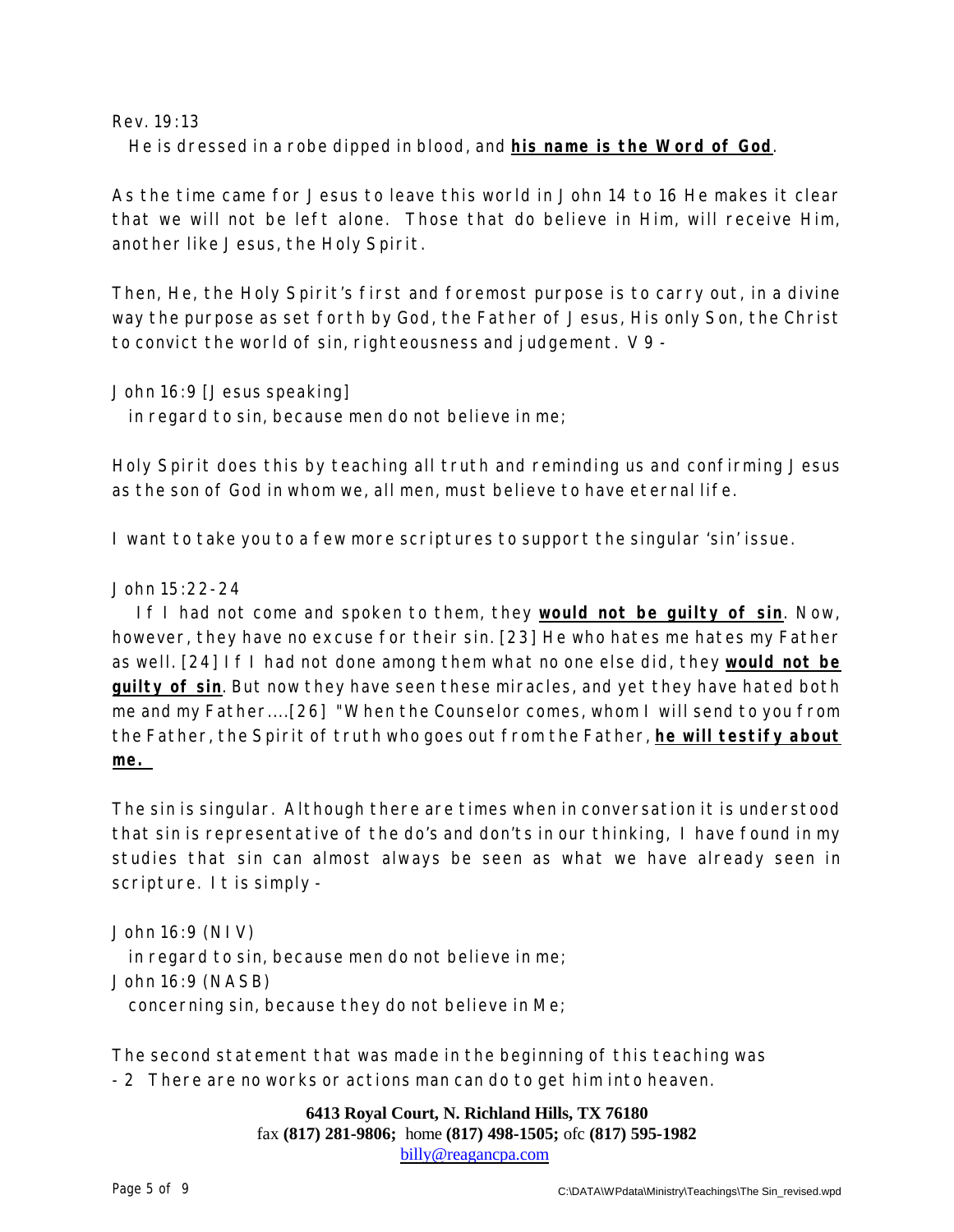Rev. 19:13

He is dressed in a robe dipped in blood, and **his name is the Word of God**.

As the time came for Jesus to leave this world in John 14 to 16 He makes it clear that we will not be left alone. Those that do believe in Him, will receive Him, another like Jesus, the Holy Spirit.

Then, He, the Holy Spirit's first and foremost purpose is to carry out, in a divine way the purpose as set forth by God, the Father of Jesus, His only Son, the Christ to convict the world of sin, righteousness and judgement. V 9 -

John 16:9 [Jesus speaking]

in regard to sin, because men do not believe in me;

Holy Spirit does this by teaching all truth and reminding us and confirming Jesus as the son of God in whom we, all men, must believe to have eternal life.

I want to take you to a few more scriptures to support the singular 'sin' issue.

#### John 15:22-24

If I had not come and spoken to them, they **would not be guilty of sin**. Now, however, they have no excuse for their sin. [23] He who hates me hates my Father as well. [24] If I had not done among them what no one else did, they **would not be guilty of sin**. But now they have seen these miracles, and yet they have hated both me and my Father....[26] "When the Counselor comes, whom I will send to you from the Father, the Spirit of truth who goes out from the Father, **he will testify about me.** 

The sin is singular. Although there are times when in conversation it is understood that sin is representative of the do's and don'ts in our thinking, I have found in my studies that sin can almost always be seen as what we have already seen in scripture. It is simply -

John 16:9 (NIV) in regard to sin, because men do not believe in me; John 16:9 (NASB) concerning sin, because they do not believe in Me;

The second statement that was made in the beginning of this teaching was - 2 There are no works or actions man can do to get him into heaven.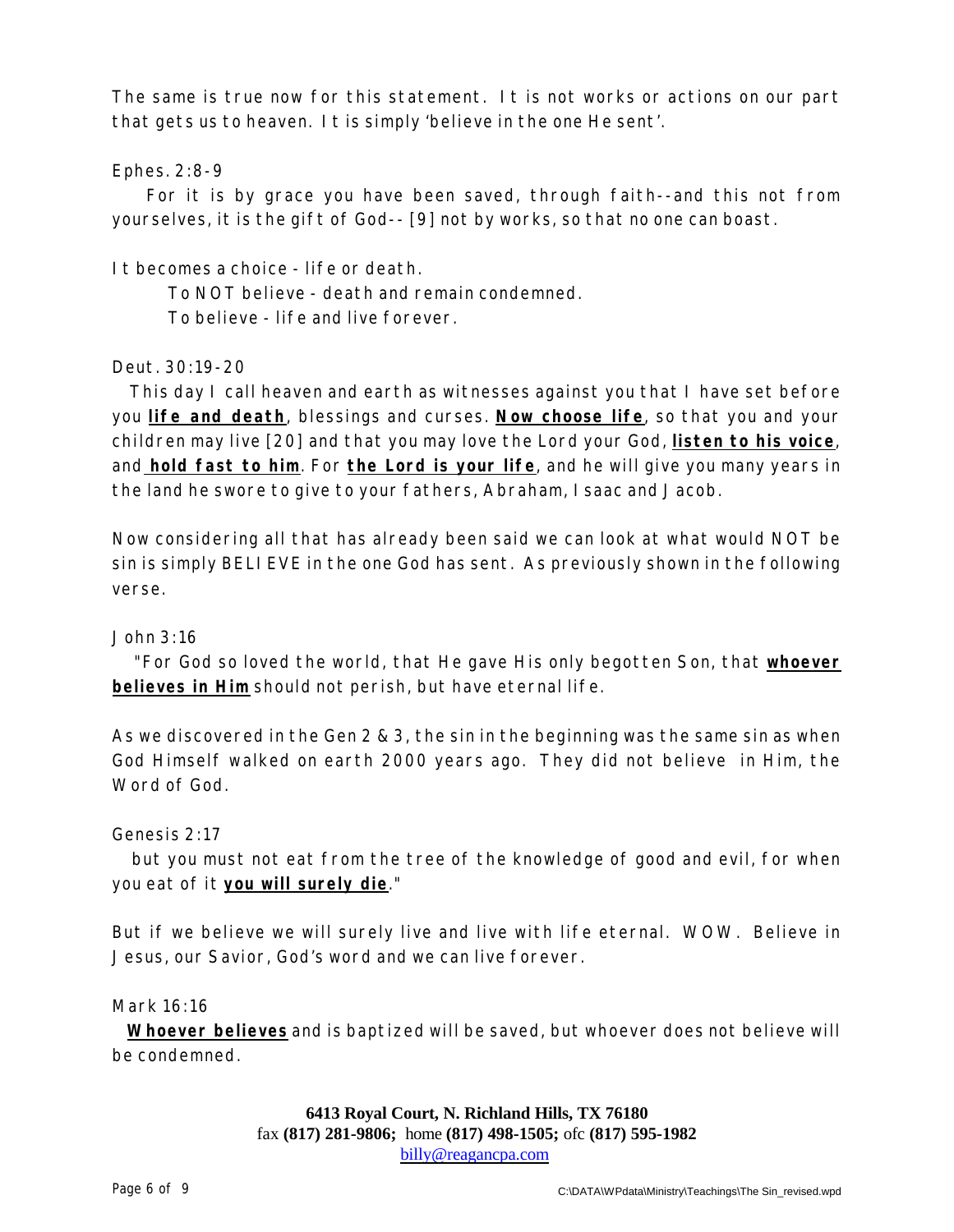The same is true now for this statement. It is not works or actions on our part that gets us to heaven. It is simply 'believe in the one He sent'.

#### Ephes. 2:8-9

For it is by grace you have been saved, through faith--and this not from yourselves, it is the gift of God-- [9] not by works, so that no one can boast.

It becomes a choice - life or death.

To NOT believe - death and remain condemned. To believe - life and live forever.

#### Deut. 30:19-20

This day I call heaven and earth as witnesses against you that I have set before you **life and death**, blessings and curses. **Now choose life**, so that you and your children may live [20] and that you may love the Lord your God, **listen to his voice**, and **hold fast to him**. For **the Lord is your life**, and he will give you many years in the land he swore to give to your fathers, Abraham, Isaac and Jacob.

Now considering all that has already been said we can look at what would NOT be sin is simply BELIEVE in the one God has sent. As previously shown in the following verse.

#### John 3:16

"For God so loved the world, that He gave His only begotten Son, that **whoever believes in Him** should not perish, but have eternal life.

As we discovered in the Gen 2 & 3, the sin in the beginning was the same sin as when God Himself walked on earth 2000 years ago. They did not believe in Him, the Word of God.

#### Genesis 2:17

but you must not eat from the tree of the knowledge of good and evil, for when you eat of it **you will surely die**."

But if we believe we will surely live and live with life eternal. WOW. Believe in Jesus, our Savior, God's word and we can live forever.

Mark 16:16

**Whoever believes** and is baptized will be saved, but whoever does not believe will be condemned.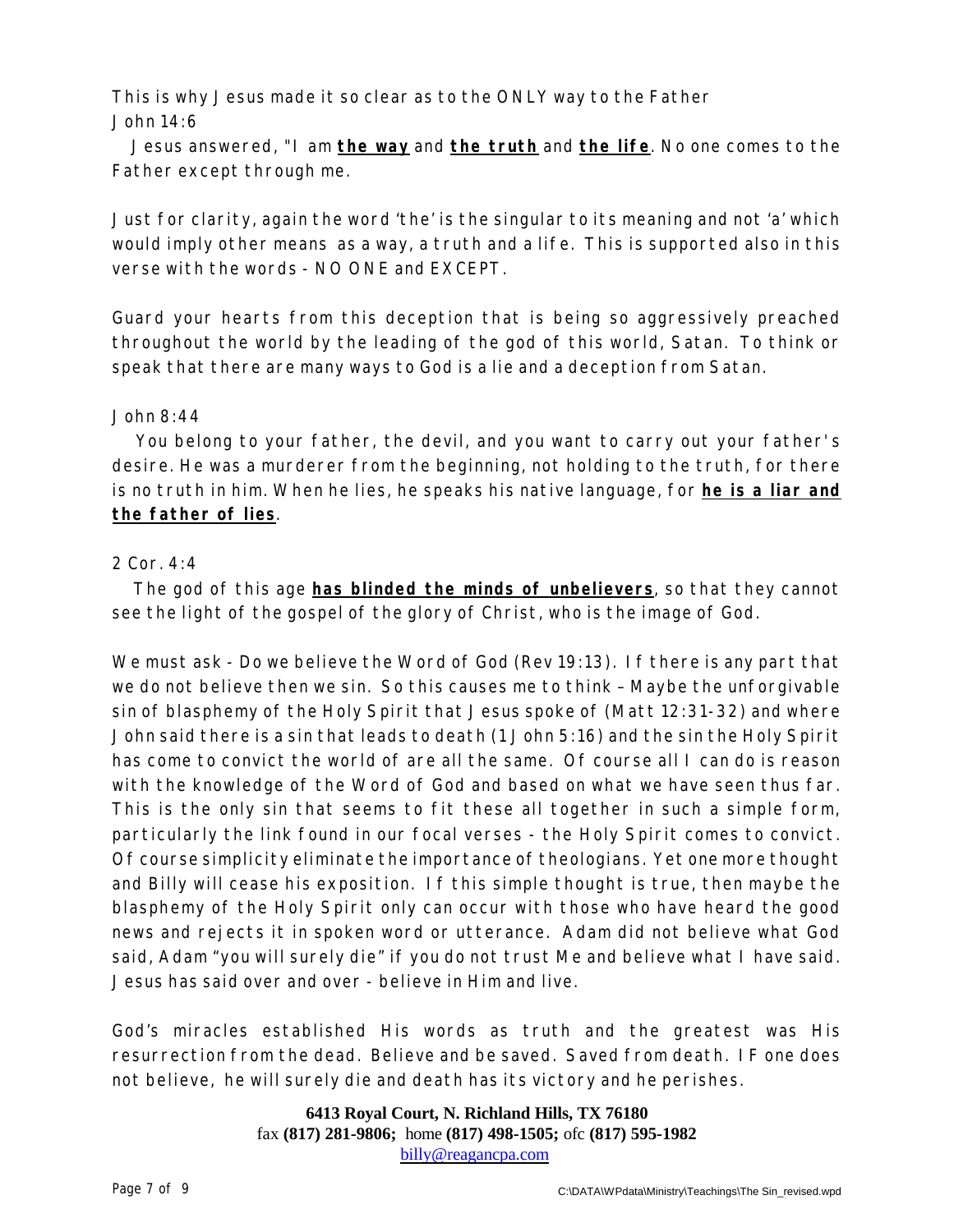This is why Jesus made it so clear as to the ONLY way to the Father John 14:6

Jesus answered, "I am **the way** and **the truth** and **the life**. No one comes to the Father except through me.

Just for clarity, again the word 'the' is the singular to its meaning and not 'a' which would imply other means as a way, a truth and a life. This is supported also in this verse with the words - NO ONE and EXCEPT.

Guard your hearts from this deception that is being so aggressively preached throughout the world by the leading of the god of this world, Satan. To think or speak that there are many ways to God is a lie and a deception from Satan.

#### John 8:44

You belong to your father, the devil, and you want to carry out your father's desire. He was a murderer from the beginning, not holding to the truth, for there is no truth in him. When he lies, he speaks his native language, for **he is a liar and the father of lies**.

#### 2 Cor. 4:4

The god of this age **has blinded the minds of unbelievers**, so that they cannot see the light of the gospel of the glory of Christ, who is the image of God.

We must ask - Do we believe the Word of God (Rev 19:13). If there is any part that we do not believe then we sin. So this causes me to think – Maybe the unforgivable sin of blasphemy of the Holy Spirit that Jesus spoke of (Matt 12:31-32) and where John said there is a sin that leads to death (1 John 5:16) and the sin the Holy Spirit has come to convict the world of are all the same. Of course all I can do is reason with the knowledge of the Word of God and based on what we have seen thus far. This is the only sin that seems to fit these all together in such a simple form, particularly the link found in our focal verses - the Holy Spirit comes to convict. Of course simplicity eliminate the importance of theologians. Yet one more thought and Billy will cease his exposition. If this simple thought is true, then maybe the blasphemy of the Holy Spirit only can occur with those who have heard the good news and rejects it in spoken word or utterance. Adam did not believe what God said, Adam "you will surely die" if you do not trust Me and believe what I have said. Jesus has said over and over - believe in Him and live.

God's miracles established His words as truth and the greatest was His resurrection from the dead. Believe and be saved. Saved from death. IF one does not believe, he will surely die and death has its victory and he perishes.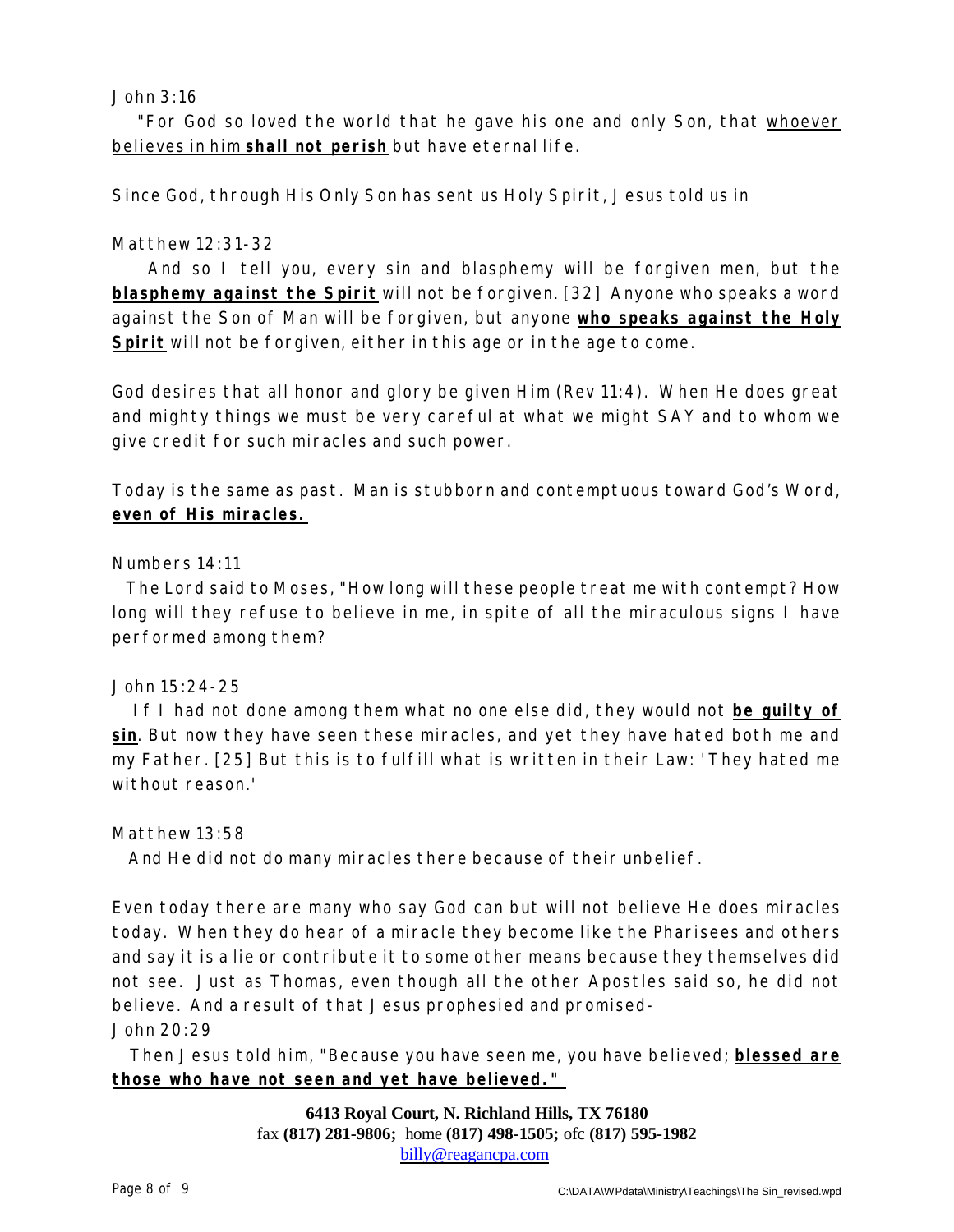#### John  $3:16$

"For God so loved the world that he gave his one and only Son, that whoever believes in him **shall not perish** but have eternal life.

Since God, through His Only Son has sent us Holy Spirit, Jesus told us in

#### Matthew 12:31-32

And so I tell you, every sin and blasphemy will be forgiven men, but the **blasphemy against the Spirit** will not be forgiven. [32] Anyone who speaks a word against the Son of Man will be forgiven, but anyone **who speaks against the Holy Spirit** will not be forgiven, either in this age or in the age to come.

God desires that all honor and glory be given Him (Rev 11:4). When He does great and mighty things we must be very careful at what we might SAY and to whom we give credit for such miracles and such power.

Today is the same as past. Man is stubborn and contemptuous toward God's Word, **even of His miracles.**

#### Numbers 14:11

The Lord said to Moses, "How long will these people treat me with contempt? How long will they refuse to believe in me, in spite of all the miraculous signs I have performed among them?

#### John 15:24-25

If I had not done among them what no one else did, they would not **be guilty of sin**. But now they have seen these miracles, and yet they have hated both me and my Father. [25] But this is to fulfill what is written in their Law: 'They hated me without reason.'

#### Matthew 13:58

And He did not do many miracles there because of their unbelief.

Even today there are many who say God can but will not believe He does miracles today. When they do hear of a miracle they become like the Pharisees and others and say it is a lie or contribute it to some other means because they themselves did not see. Just as Thomas, even though all the other Apostles said so, he did not believe. And a result of that Jesus prophesied and promised-

#### John 20:29

Then Jesus told him, "Because you have seen me, you have believed; **blessed are those who have not seen and yet have believed."**